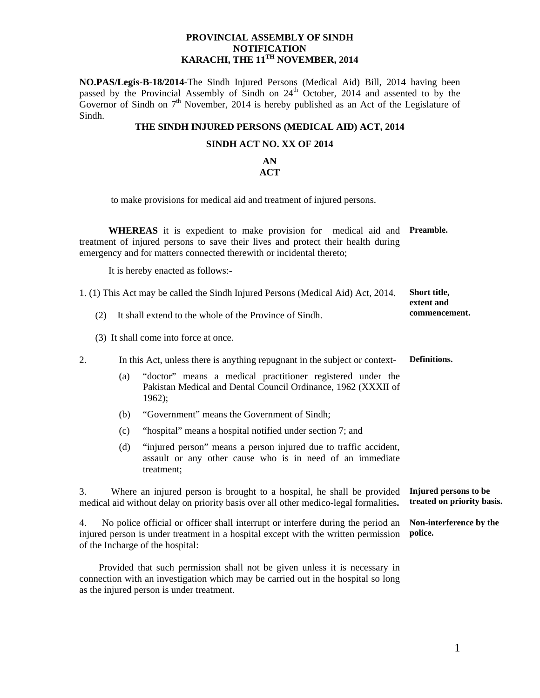### **PROVINCIAL ASSEMBLY OF SINDH NOTIFICATION KARACHI, THE 11TH NOVEMBER, 2014**

**NO.PAS/Legis-B-18/2014-**The Sindh Injured Persons (Medical Aid) Bill, 2014 having been passed by the Provincial Assembly of Sindh on 24<sup>th</sup> October, 2014 and assented to by the Governor of Sindh on  $7<sup>th</sup>$  November, 2014 is hereby published as an Act of the Legislature of Sindh.

### **THE SINDH INJURED PERSONS (MEDICAL AID) ACT, 2014**

#### **SINDH ACT NO. XX OF 2014**

#### **AN ACT**

to make provisions for medical aid and treatment of injured persons.

 **WHEREAS** it is expedient to make provision for medical aid and **Preamble.**  treatment of injured persons to save their lives and protect their health during emergency and for matters connected therewith or incidental thereto;

It is hereby enacted as follows:-

| 1. (1) This Act may be called the Sindh Injured Persons (Medical Aid) Act, 2014. | Short title.  |
|----------------------------------------------------------------------------------|---------------|
|                                                                                  | extent and    |
| It shall extend to the whole of the Province of Sindh.                           | commencement. |

(3) It shall come into force at once.

2. In this Act, unless there is anything repugnant in the subject or context- **Definitions.** 

- (a) "doctor" means a medical practitioner registered under the Pakistan Medical and Dental Council Ordinance, 1962 (XXXII of 1962);
- (b) "Government" means the Government of Sindh;
- (c) "hospital" means a hospital notified under section 7; and
- (d) "injured person" means a person injured due to traffic accident, assault or any other cause who is in need of an immediate treatment;

3.Where an injured person is brought to a hospital, he shall be provided medical aid without delay on priority basis over all other medico-legal formalities**. Injured persons to be treated on priority basis.** 

4. No police official or officer shall interrupt or interfere during the period an injured person is under treatment in a hospital except with the written permission of the Incharge of the hospital: **Non-interference by the police.**

 Provided that such permission shall not be given unless it is necessary in connection with an investigation which may be carried out in the hospital so long as the injured person is under treatment.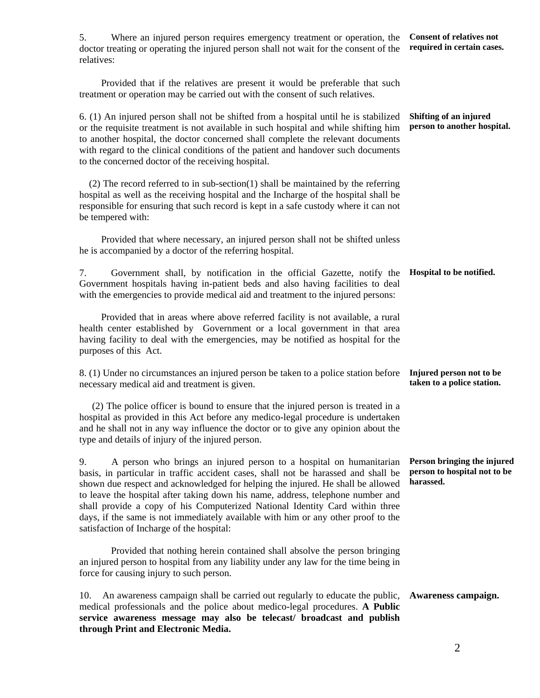5. Where an injured person requires emergency treatment or operation, the doctor treating or operating the injured person shall not wait for the consent of the relatives: Provided that if the relatives are present it would be preferable that such treatment or operation may be carried out with the consent of such relatives. **Consent of relatives not required in certain cases.**  6. (1) An injured person shall not be shifted from a hospital until he is stabilized or the requisite treatment is not available in such hospital and while shifting him to another hospital, the doctor concerned shall complete the relevant documents with regard to the clinical conditions of the patient and handover such documents to the concerned doctor of the receiving hospital. (2) The record referred to in sub-section(1) shall be maintained by the referring hospital as well as the receiving hospital and the Incharge of the hospital shall be responsible for ensuring that such record is kept in a safe custody where it can not be tempered with: Provided that where necessary, an injured person shall not be shifted unless he is accompanied by a doctor of the referring hospital. **Shifting of an injured person to another hospital.**  7. Government shall, by notification in the official Gazette, notify the Government hospitals having in-patient beds and also having facilities to deal with the emergencies to provide medical aid and treatment to the injured persons: Provided that in areas where above referred facility is not available, a rural health center established by Government or a local government in that area having facility to deal with the emergencies, may be notified as hospital for the purposes of this Act. **Hospital to be notified.**  8. (1) Under no circumstances an injured person be taken to a police station before necessary medical aid and treatment is given. (2) The police officer is bound to ensure that the injured person is treated in a hospital as provided in this Act before any medico-legal procedure is undertaken and he shall not in any way influence the doctor or to give any opinion about the type and details of injury of the injured person. **Injured person not to be taken to a police station.**  9. A person who brings an injured person to a hospital on humanitarian basis, in particular in traffic accident cases, shall not be harassed and shall be shown due respect and acknowledged for helping the injured. He shall be allowed to leave the hospital after taking down his name, address, telephone number and shall provide a copy of his Computerized National Identity Card within three days, if the same is not immediately available with him or any other proof to the satisfaction of Incharge of the hospital: Provided that nothing herein contained shall absolve the person bringing an injured person to hospital from any liability under any law for the time being in force for causing injury to such person. **Person bringing the injured person to hospital not to be harassed.**  10. An awareness campaign shall be carried out regularly to educate the public, medical professionals and the police about medico-legal procedures. **A Public service awareness message may also be telecast/ broadcast and publish through Print and Electronic Media. Awareness campaign.**